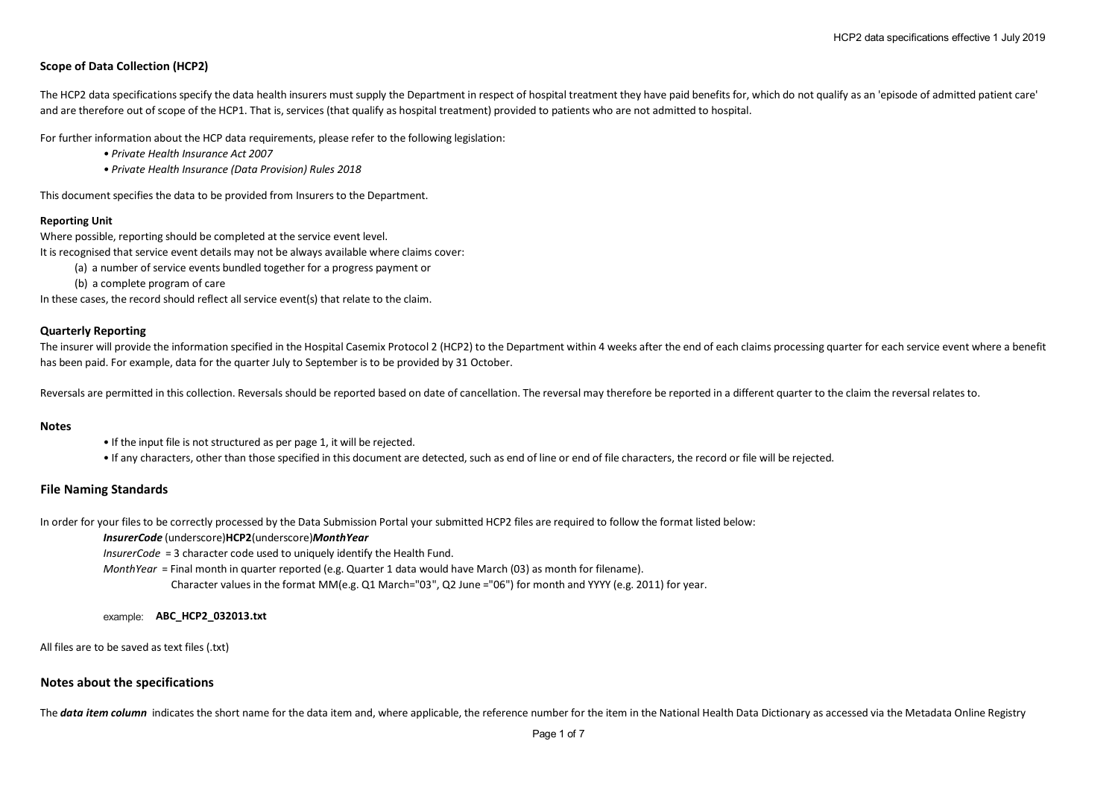# **Scope of Data Collection (HCP2)**

The HCP2 data specifications specify the data health insurers must supply the Department in respect of hospital treatment they have paid benefits for, which do not qualify as an 'episode of admitted patient care' and are therefore out of scope of the HCP1. That is, services (that qualify as hospital treatment) provided to patients who are not admitted to hospital.

For further information about the HCP data requirements, please refer to the following legislation:

- *Private Health Insurance Act 2007*
- *Private Health Insurance (Data Provision) Rules 2018*

This document specifies the data to be provided from Insurers to the Department.

## **Reporting Unit**

Where possible, reporting should be completed at the service event level.

It is recognised that service event details may not be always available where claims cover:

- (a) a number of service events bundled together for a progress payment or
- (b) a complete program of care

In these cases, the record should reflect all service event(s) that relate to the claim.

## **Quarterly Reporting**

The insurer will provide the information specified in the Hospital Casemix Protocol 2 (HCP2) to the Department within 4 weeks after the end of each claims processing quarter for each service event where a benefit has been paid. For example, data for the quarter July to September is to be provided by 31 October.

Reversals are permitted in this collection. Reversals should be reported based on date of cancellation. The reversal may therefore be reported in a different quarter to the claim the reversal relates to.

#### **Notes**

- If the input file is not structured as per page 1, it will be rejected.
- If any characters, other than those specified in this document are detected, such as end of line or end of file characters, the record or file will be rejected.

## **File Naming Standards**

In order for your files to be correctly processed by the Data Submission Portal your submitted HCP2 files are required to follow the format listed below:

#### *InsurerCode* (underscore)**HCP2**(underscore)*MonthYear*

*InsurerCode* = 3 character code used to uniquely identify the Health Fund.

*MonthYear* = Final month in quarter reported (e.g. Quarter 1 data would have March (03) as month for filename).

Character values in the format MM(e.g. Q1 March="03", Q2 June ="06") for month and YYYY (e.g. 2011) for year.

#### example: **ABC\_HCP2\_032013.txt**

All files are to be saved as text files (.txt)

## **Notes about the specifications**

The **data item column** indicates the short name for the data item and, where applicable, the reference number for the item in the National Health Data Dictionary as accessed via the Metadata Online Registry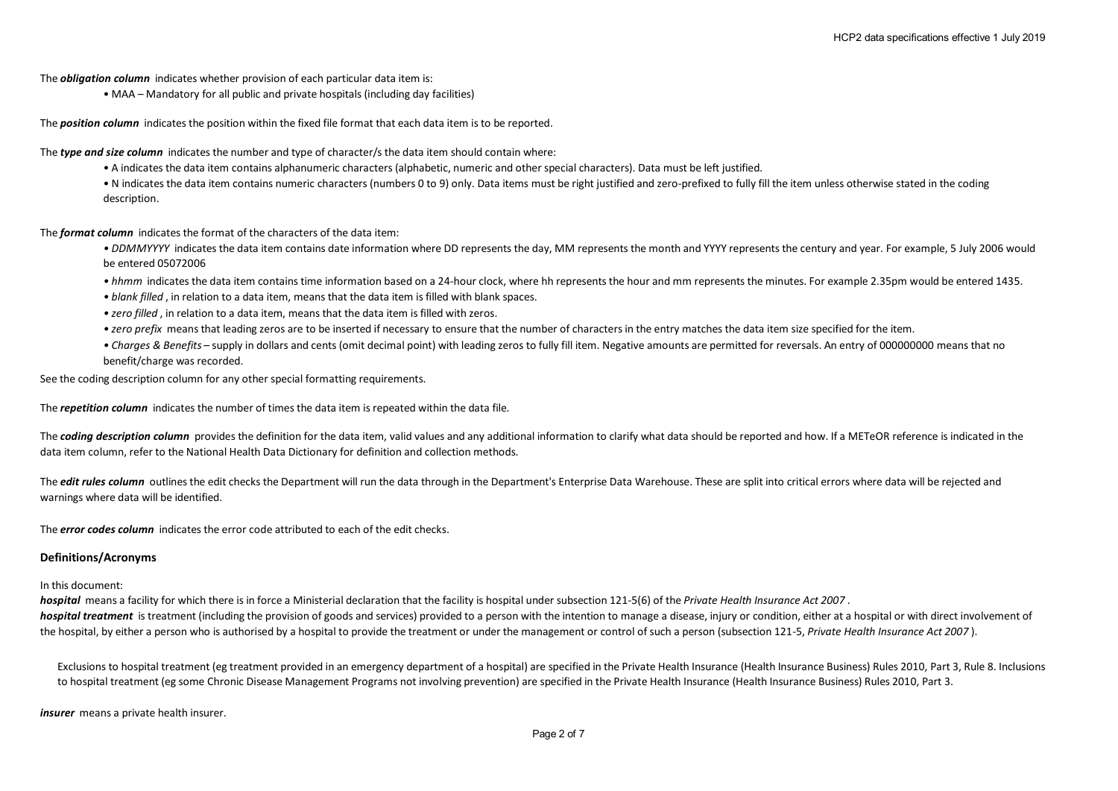The *obligation column* indicates whether provision of each particular data item is:

• MAA – Mandatory for all public and private hospitals (including day facilities)

The *position column* indicates the position within the fixed file format that each data item is to be reported.

The *type and size column* indicates the number and type of character/s the data item should contain where:

• A indicates the data item contains alphanumeric characters (alphabetic, numeric and other special characters). Data must be left justified.

• N indicates the data item contains numeric characters (numbers 0 to 9) only. Data items must be right justified and zero-prefixed to fully fill the item unless otherwise stated in the coding description.

The *format column* indicates the format of the characters of the data item:

*• DDMMYYYY* indicates the data item contains date information where DD represents the day, MM represents the month and YYYY represents the century and year. For example, 5 July 2006 would be entered 05072006

- *hhmm* indicates the data item contains time information based on a 24-hour clock, where hh represents the hour and mm represents the minutes. For example 2.35pm would be entered 1435.
- *blank filled* , in relation to a data item, means that the data item is filled with blank spaces.
- *zero filled* , in relation to a data item, means that the data item is filled with zeros.
- *zero prefix* means that leading zeros are to be inserted if necessary to ensure that the number of characters in the entry matches the data item size specified for the item.
- *Charges & Benefits* supply in dollars and cents (omit decimal point) with leading zeros to fully fill item. Negative amounts are permitted for reversals. An entry of 000000000 means that no benefit/charge was recorded.

See the coding description column for any other special formatting requirements.

The *repetition column* indicates the number of times the data item is repeated within the data file.

The **coding description column** provides the definition for the data item, valid values and any additional information to clarify what data should be reported and how. If a METeOR reference is indicated in the data item column, refer to the National Health Data Dictionary for definition and collection methods.

The *edit rules column* outlines the edit checks the Department will run the data through in the Department's Enterprise Data Warehouse. These are split into critical errors where data will be rejected and warnings where data will be identified.

The *error codes column* indicates the error code attributed to each of the edit checks.

#### **Definitions/Acronyms**

## In this document:

*hospital* means a facility for which there is in force a Ministerial declaration that the facility is hospital under subsection 121-5(6) of the *Private Health Insurance Act 2007* . *hospital treatment* is treatment (including the provision of goods and services) provided to a person with the intention to manage a disease, injury or condition, either at a hospital or with direct involvement of the hospital, by either a person who is authorised by a hospital to provide the treatment or under the management or control of such a person (subsection 121-5, *Private Health Insurance Act 2007* ).

Exclusions to hospital treatment (eg treatment provided in an emergency department of a hospital) are specified in the Private Health Insurance (Health Insurance Business) Rules 2010, Part 3, Rule 8. Inclusions to hospital treatment (eg some Chronic Disease Management Programs not involving prevention) are specified in the Private Health Insurance (Health Insurance Business) Rules 2010, Part 3.

*insurer* means a private health insurer.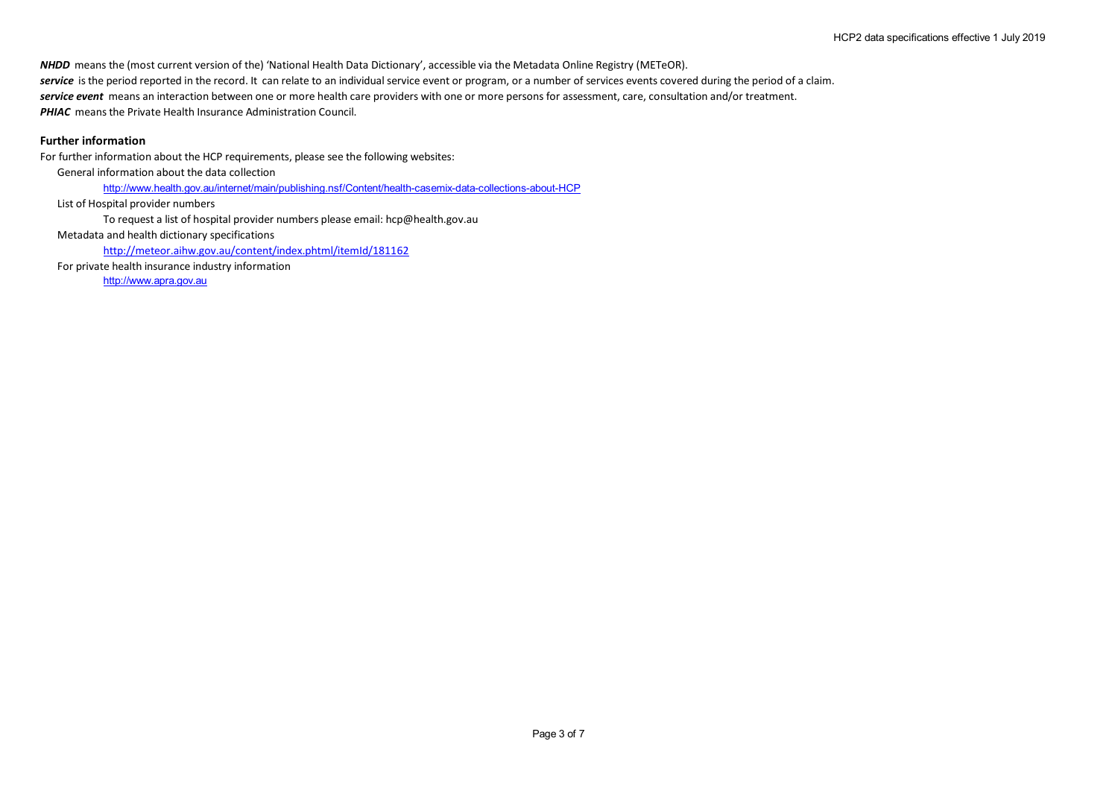*NHDD* means the (most current version of the) 'National Health Data Dictionary', accessible via the Metadata Online Registry (METeOR). service is the period reported in the record. It can relate to an individual service event or program, or a number of services events covered during the period of a claim. *service event* means an interaction between one or more health care providers with one or more persons for assessment, care, consultation and/or treatment. **PHIAC** means the Private Health Insurance Administration Council.

# **Further information**

For further information about the HCP requirements, please see the following websites:

General information about the data collection

http://www.health.gov.au/internet/main/publishing.nsf/Content/health-casemix-data-collections-about-HCP

List of Hospital provider numbers

To request a list of hospital provider numbers please email: hcp@health.gov.au

Metadata and health dictionary specifications

http://meteor.aihw.gov.au/content/index.phtml/itemId/181162

For private health insurance industry information

http://www.apra.gov.au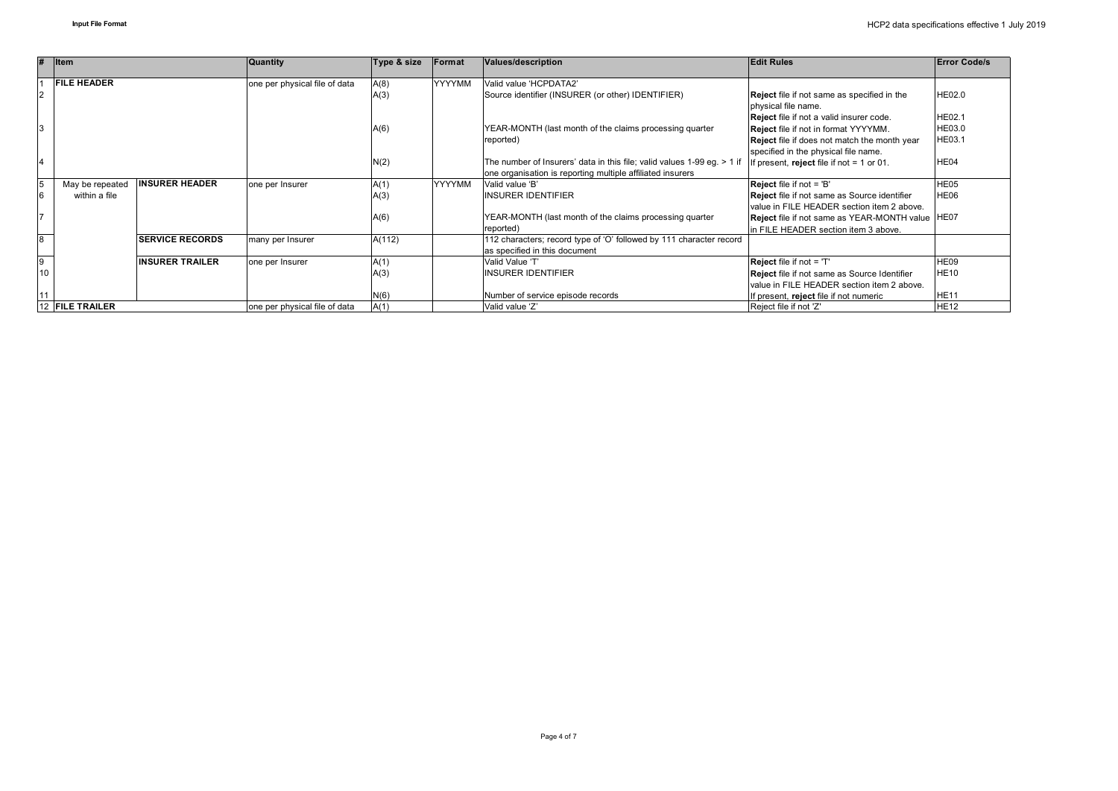| #              | $ $ Item           |                         | <b>Quantity</b>               | Type & size | Format        | Values/description                                                      | <b>Edit Rules</b>                                                  | <b>Error Code/s</b> |
|----------------|--------------------|-------------------------|-------------------------------|-------------|---------------|-------------------------------------------------------------------------|--------------------------------------------------------------------|---------------------|
|                | <b>FILE HEADER</b> |                         | one per physical file of data | A(8)        | YYYYMM        | Valid value 'HCPDATA2'                                                  |                                                                    |                     |
| $\overline{2}$ |                    |                         |                               | A(3)        |               | Source identifier (INSURER (or other) IDENTIFIER)                       | Reject file if not same as specified in the<br>physical file name. | HE02.0              |
|                |                    |                         |                               |             |               |                                                                         | Reject file if not a valid insurer code.                           | HE02.1              |
|                |                    |                         |                               | A(6)        |               | YEAR-MONTH (last month of the claims processing quarter                 | Reject file if not in format YYYYMM.                               | HE03.0              |
|                |                    |                         |                               |             |               | reported)                                                               | Reject file if does not match the month year                       | HE03.1              |
|                |                    |                         |                               |             |               |                                                                         | specified in the physical file name.                               |                     |
|                |                    |                         |                               | N(2)        |               | The number of Insurers' data in this file; valid values 1-99 eg. > 1 if | If present, reject file if not $= 1$ or 01.                        | HE04                |
|                |                    |                         |                               |             |               | one organisation is reporting multiple affiliated insurers              |                                                                    |                     |
| 5              | May be repeated    | <b>INSURER HEADER</b>   | one per Insurer               | A(1)        | <b>YYYYMM</b> | Valid value 'B'                                                         | <b>Reject file if not = 'B'</b>                                    | HE05                |
| 6              | within a file      |                         |                               | A(3)        |               | <b>INSURER IDENTIFIER</b>                                               | Reject file if not same as Source identifier                       | HE06                |
|                |                    |                         |                               |             |               |                                                                         | value in FILE HEADER section item 2 above.                         |                     |
|                |                    |                         |                               | A(6)        |               | YEAR-MONTH (last month of the claims processing quarter                 | Reject file if not same as YEAR-MONTH value HE07                   |                     |
|                |                    |                         |                               |             |               | reported)                                                               | In FILE HEADER section item 3 above.                               |                     |
| $\overline{8}$ |                    | <b>ISERVICE RECORDS</b> | many per Insurer              | A(112)      |               | 112 characters; record type of 'O' followed by 111 character record     |                                                                    |                     |
|                |                    |                         |                               |             |               | as specified in this document                                           |                                                                    |                     |
| $\overline{9}$ |                    | <b>IINSURER TRAILER</b> | one per Insurer               | A(1)        |               | Valid Value 'T'                                                         | Reject file if not = 'T'                                           | HE09                |
| 10             |                    |                         |                               | A(3)        |               | <b>INSURER IDENTIFIER</b>                                               | Reject file if not same as Source Identifier                       | <b>HE10</b>         |
|                |                    |                         |                               |             |               |                                                                         | value in FILE HEADER section item 2 above.                         |                     |
|                |                    |                         |                               | N(6)        |               | Number of service episode records                                       | If present, reject file if not numeric                             | HE1'                |
|                | 12 FILE TRAILER    |                         | one per physical file of data | A(1)        |               | Valid value 'Z'                                                         | Reject file if not 'Z'                                             | <b>HE12</b>         |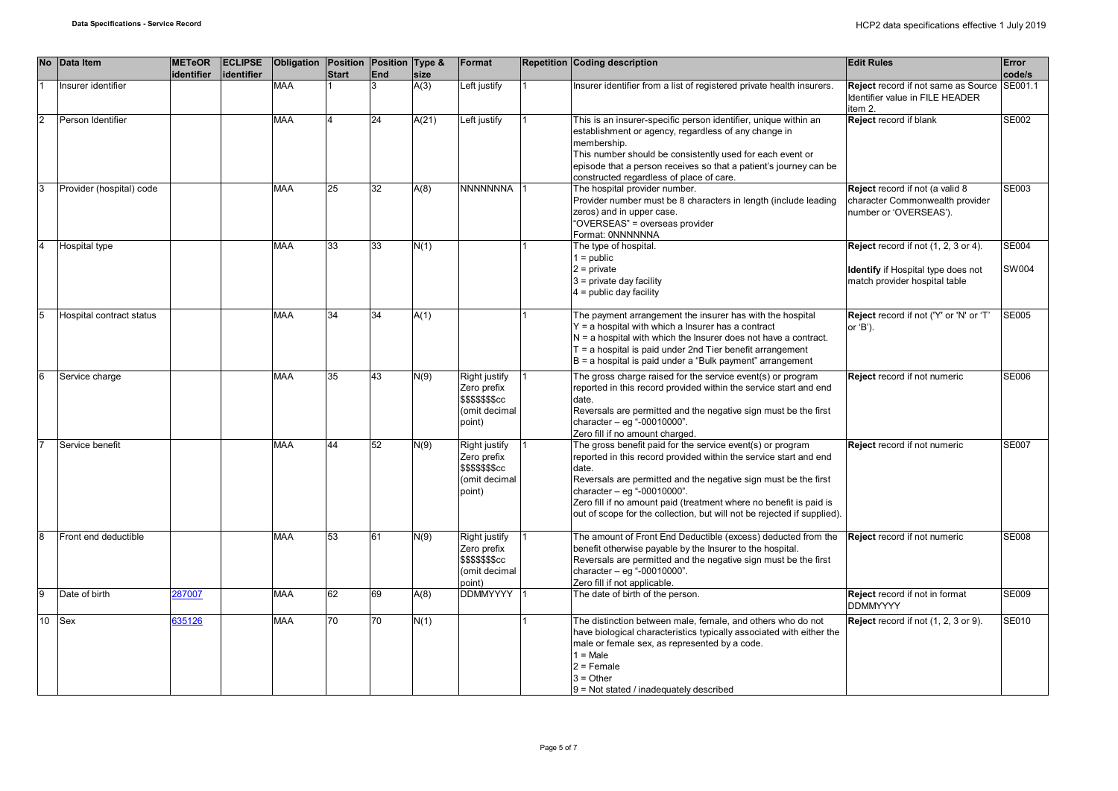| <b>No</b> | Data Item                             | <b>METeOR</b><br>identifier | <b>ECLIPSE</b><br>lidentifier | Obligation Position Position Type & | <b>Start</b> | End | size  | Format                                                                             | <b>Repetition Coding description</b>                                                                                                                                                                                                                                                                                                                                                        | <b>Edit Rules</b>                                                                                           | Error<br>code/s       |
|-----------|---------------------------------------|-----------------------------|-------------------------------|-------------------------------------|--------------|-----|-------|------------------------------------------------------------------------------------|---------------------------------------------------------------------------------------------------------------------------------------------------------------------------------------------------------------------------------------------------------------------------------------------------------------------------------------------------------------------------------------------|-------------------------------------------------------------------------------------------------------------|-----------------------|
|           | Insurer identifier                    |                             |                               | <b>MAA</b>                          |              | 3   | A(3)  | Left justify                                                                       | Insurer identifier from a list of registered private health insurers.                                                                                                                                                                                                                                                                                                                       | <b>Reject</b> record if not same as Source<br>Identifier value in FILE HEADER<br>item 2.                    | SE001.1               |
| 2         | Person Identifier                     |                             |                               | <b>MAA</b>                          |              | 24  | A(21) | Left justify                                                                       | This is an insurer-specific person identifier, unique within an<br>establishment or agency, regardless of any change in<br>membership.<br>This number should be consistently used for each event or<br>episode that a person receives so that a patient's journey can be<br>constructed regardless of place of care.                                                                        | <b>Reject</b> record if blank                                                                               | <b>SE002</b>          |
| l3        | Provider (hospital) code              |                             |                               | <b>MAA</b>                          | 25           | 32  | A(8)  | <b>NNNNNNNA</b>                                                                    | The hospital provider number.<br>Provider number must be 8 characters in length (include leading<br>zeros) and in upper case.<br>"OVERSEAS" = overseas provider<br>Format: 0NNNNNNA                                                                                                                                                                                                         | Reject record if not (a valid 8<br>character Commonwealth provider<br>number or 'OVERSEAS').                | SE003                 |
|           | Hospital type                         |                             |                               | <b>MAA</b>                          | 33           | 33  | N(1)  |                                                                                    | The type of hospital.<br>$1 = \text{public}$<br>$2$ = private<br>$3$ = private day facility<br>$4 =$ public day facility                                                                                                                                                                                                                                                                    | Reject record if not (1, 2, 3 or 4).<br>Identify if Hospital type does not<br>match provider hospital table | <b>SE004</b><br>SW004 |
| 5         | <b>Hospital contract status</b>       |                             |                               | <b>MAA</b>                          | 34           | 34  | A(1)  |                                                                                    | The payment arrangement the insurer has with the hospital<br>Y = a hospital with which a lnsurer has a contract<br>$N = a$ hospital with which the Insurer does not have a contract.<br>$T = a$ hospital is paid under 2nd Tier benefit arrangement<br>$B = a$ hospital is paid under a "Bulk payment" arrangement                                                                          | Reject record if not ('Y' or 'N' or 'T'<br>or 'B').                                                         | <b>SE005</b>          |
| 6         | Service charge                        |                             |                               | <b>MAA</b>                          | 35           | 43  | N(9)  | Right justify<br>Zero prefix<br><b>\$\$\$\$\$\$\$cc</b><br>(omit decimal<br>point) | The gross charge raised for the service event(s) or program<br>reported in this record provided within the service start and end<br>date.<br>Reversals are permitted and the negative sign must be the first<br>character $-$ eg "-00010000".<br>Zero fill if no amount charged.                                                                                                            | Reject record if not numeric                                                                                | <b>SE006</b>          |
|           | Service benefit                       |                             |                               | <b>MAA</b>                          | 44           | 52  | N(9)  | Right justify<br>Zero prefix<br><b>\$\$\$\$\$\$\$cc</b><br>(omit decimal<br>point) | The gross benefit paid for the service event(s) or program<br>reported in this record provided within the service start and end<br>date.<br>Reversals are permitted and the negative sign must be the first<br>character - eq "-00010000".<br>Zero fill if no amount paid (treatment where no benefit is paid is<br>out of scope for the collection, but will not be rejected if supplied). | Reject record if not numeric                                                                                | <b>SE007</b>          |
| l8<br>l9  | Front end deductible<br>Date of birth |                             |                               | <b>MAA</b>                          | 53           | 61  | N(9)  | Right justify<br>Zero prefix<br>\$\$\$\$\$\$\$cc<br>(omit decimal<br>point)        | The amount of Front End Deductible (excess) deducted from the<br>benefit otherwise payable by the Insurer to the hospital.<br>Reversals are permitted and the negative sign must be the first<br>character - eg "-00010000".<br>Zero fill if not applicable.                                                                                                                                | Reject record if not numeric                                                                                | <b>SE008</b>          |
|           |                                       | 287007                      |                               | <b>MAA</b>                          | 62           | 69  | A(8)  | DDMMYYYY 1                                                                         | The date of birth of the person.                                                                                                                                                                                                                                                                                                                                                            | Reject record if not in format<br><b>DDMMYYYY</b>                                                           | <b>SE009</b>          |
| 10        | <b>Sex</b>                            | 335126                      |                               | <b>MAA</b>                          | 70           | 70  | N(1)  |                                                                                    | The distinction between male, female, and others who do not<br>have biological characteristics typically associated with either the<br>male or female sex, as represented by a code.<br>$1 = Male$<br>$2$ = Female<br>$3 = Other$<br>$9$ = Not stated / inadequately described                                                                                                              | Reject record if not (1, 2, 3 or 9).                                                                        | SE010                 |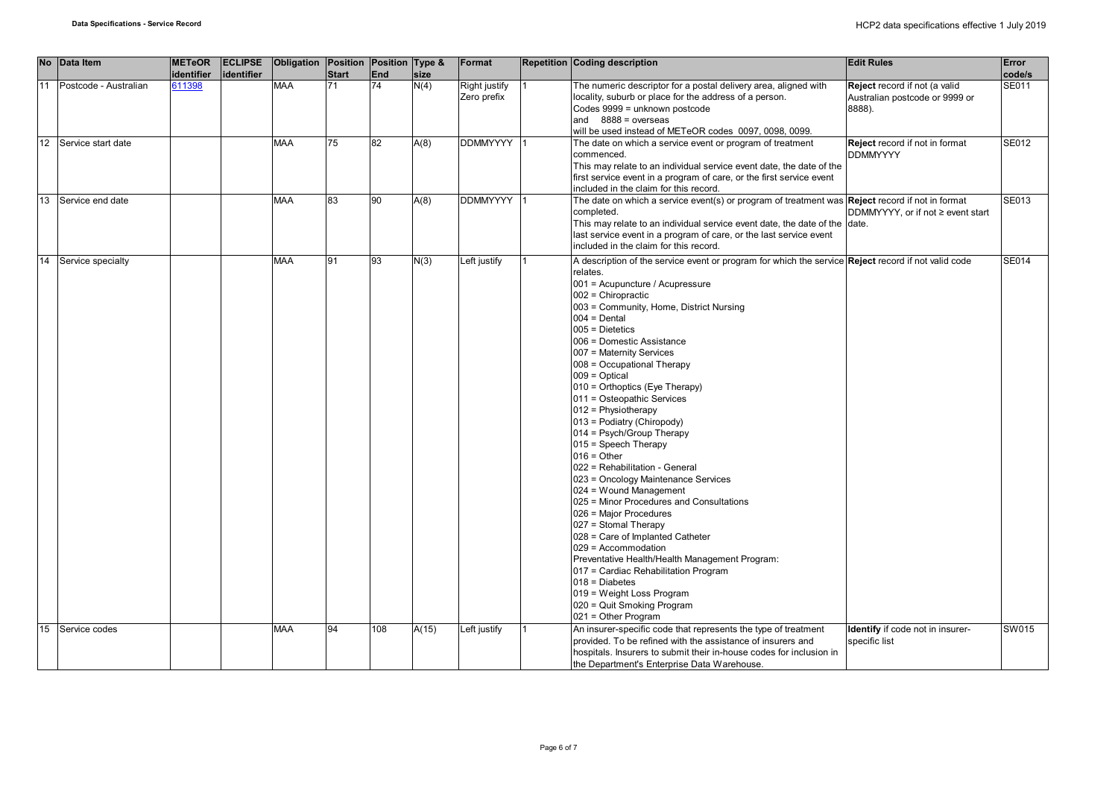|    |    | No Data Item          | <b>METeOR</b><br>identifier | <b>ECLIPSE</b><br>identifier | Obligation Position Position Type & | <b>Start</b> | End | size  | Format                       | <b>Repetition Coding description</b>                                                                                                                                                                                                                                                                                                                                                                                                                                                                                                                                                                                                                                                                                                                                                                                                                                                                                                                                                                                                   | <b>Edit Rules</b>                                                         | Error<br>code/s |
|----|----|-----------------------|-----------------------------|------------------------------|-------------------------------------|--------------|-----|-------|------------------------------|----------------------------------------------------------------------------------------------------------------------------------------------------------------------------------------------------------------------------------------------------------------------------------------------------------------------------------------------------------------------------------------------------------------------------------------------------------------------------------------------------------------------------------------------------------------------------------------------------------------------------------------------------------------------------------------------------------------------------------------------------------------------------------------------------------------------------------------------------------------------------------------------------------------------------------------------------------------------------------------------------------------------------------------|---------------------------------------------------------------------------|-----------------|
| 11 |    | Postcode - Australian | 611398                      |                              | <b>MAA</b>                          | 71           | 74  | N(4)  | Right justify<br>Zero prefix | The numeric descriptor for a postal delivery area, aligned with<br>locality, suburb or place for the address of a person.<br>Codes 9999 = unknown postcode<br>and $8888 = 0$ verseas<br>will be used instead of METeOR codes 0097, 0098, 0099.                                                                                                                                                                                                                                                                                                                                                                                                                                                                                                                                                                                                                                                                                                                                                                                         | Reject record if not (a valid<br>Australian postcode or 9999 or<br>8888). | SE011           |
|    | 12 | Service start date    |                             |                              | <b>MAA</b>                          | 75           | 82  | A(8)  | DDMMYYYY 1                   | The date on which a service event or program of treatment<br>commenced.<br>This may relate to an individual service event date, the date of the<br>first service event in a program of care, or the first service event<br>included in the claim for this record.                                                                                                                                                                                                                                                                                                                                                                                                                                                                                                                                                                                                                                                                                                                                                                      | Reject record if not in format<br><b>DDMMYYYY</b>                         | <b>SE012</b>    |
|    | 13 | Service end date      |                             |                              | <b>MAA</b>                          | 83           | 90  | A(8)  | DDMMYYYY 1                   | The date on which a service event(s) or program of treatment was <b>Reject</b> record if not in format<br>completed.<br>This may relate to an individual service event date, the date of the date.<br>last service event in a program of care, or the last service event<br>included in the claim for this record.                                                                                                                                                                                                                                                                                                                                                                                                                                                                                                                                                                                                                                                                                                                     | DDMMYYYY, or if not ≥ event start                                         | <b>SE013</b>    |
| 14 |    | Service specialty     |                             |                              | <b>MAA</b>                          | 91           | 93  | N(3)  | Left justify                 | A description of the service event or program for which the service <b>Reject</b> record if not valid code<br>relates.<br>001 = Acupuncture / Acupressure<br>$002$ = Chiropractic<br>003 = Community, Home, District Nursing<br>$004 = Dental$<br>$005$ = Dietetics<br>006 = Domestic Assistance<br>007 = Maternity Services<br>008 = Occupational Therapy<br>$009 = Optical$<br>010 = Orthoptics (Eye Therapy)<br>011 = Osteopathic Services<br>$012$ = Physiotherapy<br>013 = Podiatry (Chiropody)<br>014 = Psych/Group Therapy<br>015 = Speech Therapy<br>$016 =$ Other<br>022 = Rehabilitation - General<br>023 = Oncology Maintenance Services<br>024 = Wound Management<br>025 = Minor Procedures and Consultations<br>026 = Major Procedures<br>027 = Stomal Therapy<br>028 = Care of Implanted Catheter<br>029 = Accommodation<br>Preventative Health/Health Management Program:<br>017 = Cardiac Rehabilitation Program<br>$018 = Diabetes$<br>019 = Weight Loss Program<br>020 = Quit Smoking Program<br>021 = Other Program |                                                                           | SE014           |
|    | 15 | Service codes         |                             |                              | <b>MAA</b>                          | 94           | 108 | A(15) | eft justify                  | An insurer-specific code that represents the type of treatment<br>provided. To be refined with the assistance of insurers and<br>hospitals. Insurers to submit their in-house codes for inclusion in<br>the Department's Enterprise Data Warehouse.                                                                                                                                                                                                                                                                                                                                                                                                                                                                                                                                                                                                                                                                                                                                                                                    | <b>Identify</b> if code not in insurer-<br>specific list                  | SW015           |